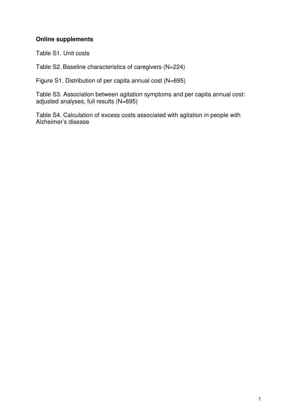## **Online supplements**

Table S1. Unit costs

Table S2. Baseline characteristics of caregivers (N=224)

Figure S1. Distribution of per capita annual cost (N=695)

Table S3. Association between agitation symptoms and per capita annual cost: adjusted analyses, full results (N=695)

Table S4. Calculation of excess costs associated with agitation in people with Alzheimer's disease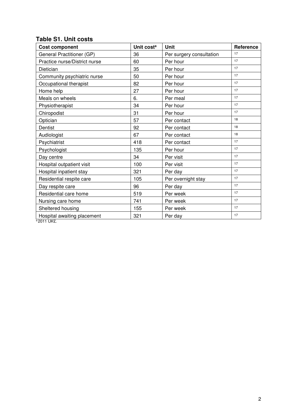| <b>Cost component</b>         | Unit cost <sup>a</sup> | <b>Unit</b>              | Reference |
|-------------------------------|------------------------|--------------------------|-----------|
| General Practitioner (GP)     | 36                     | Per surgery consultation | 17        |
| Practice nurse/District nurse | 60                     | Per hour                 | 17        |
| Dietician                     | 35                     | Per hour                 | 17        |
| Community psychiatric nurse   | 50                     | Per hour                 | 17        |
| Occupational therapist        | 82                     | Per hour                 | 17        |
| Home help                     | 27                     | Per hour                 | 17        |
| Meals on wheels               | 6.                     | Per meal                 | 17        |
| Physiotherapist               | 34                     | Per hour                 | 17        |
| Chiropodist                   | 31                     | Per hour                 | 17        |
| Optician                      | 57                     | Per contact              | 18        |
| Dentist                       | 92                     | Per contact              | 18        |
| Audiologist                   | 67                     | Per contact              | 18        |
| Psychiatrist                  | 418                    | Per contact              | 17        |
| Psychologist                  | 135                    | Per hour                 | 17        |
| Day centre                    | 34                     | Per visit                | 17        |
| Hospital outpatient visit     | 100                    | Per visit                | 17        |
| Hospital inpatient stay       | 321                    | Per day                  | 17        |
| Residential respite care      | 105                    | Per overnight stay       | 17        |
| Day respite care              | 96                     | Per day                  | 17        |
| Residential care home         | 519                    | Per week                 | 17        |
| Nursing care home             | 741                    | Per week                 | 17        |
| Sheltered housing             | 155                    | Per week                 | 17        |
| Hospital awaiting placement   | 321                    | Per day                  | 17        |

## **Table S1. Unit costs**

 $a$ <sub>2011</sub> UK£.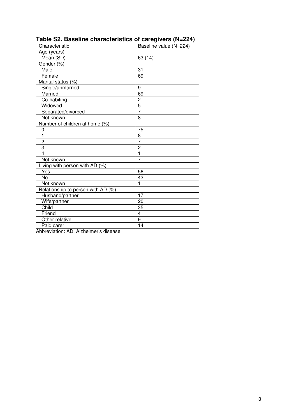| Characteristic                     | <u>.</u><br>Baseline value (N=224) |
|------------------------------------|------------------------------------|
| Age (years)                        |                                    |
| Mean (SD)                          | 63 (14)                            |
| Gender (%)                         |                                    |
| Male                               | 31                                 |
| Female                             | 69                                 |
| Marital status (%)                 |                                    |
| Single/unmarried                   | 9                                  |
| Married                            | 69                                 |
| Co-habiting                        | $\overline{c}$                     |
| Widowed                            | $\overline{5}$                     |
| Separated/divorced                 | $\overline{7}$                     |
| Not known                          | 8                                  |
| Number of children at home (%)     |                                    |
| 0                                  | 75                                 |
| $\overline{1}$                     | 8                                  |
| $\overline{2}$                     | $\overline{7}$                     |
| 3                                  | $\overline{2}$                     |
| $\overline{4}$                     | $\overline{1}$                     |
| Not known                          | $\overline{7}$                     |
| Living with person with AD (%)     |                                    |
| Yes                                | 56                                 |
| $\overline{N}$                     | 43                                 |
| Not known                          | 1                                  |
| Relationship to person with AD (%) |                                    |
| Husband/partner                    | 17                                 |
| Wife/partner                       | 20                                 |
| Child                              | 35                                 |
| Friend                             | $\overline{\mathbf{4}}$            |
| Other relative                     | $\overline{9}$                     |
| Paid carer                         | 14                                 |

**Table S2. Baseline characteristics of caregivers (N=224)** 

Abbreviation: AD, Alzheimer's disease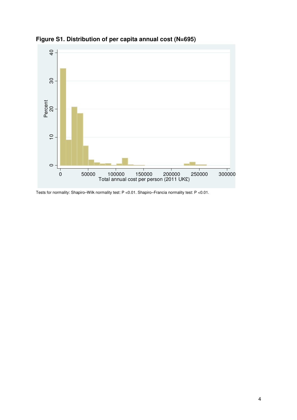

**Figure S1. Distribution of per capita annual cost (N=695)** 

Tests for normality: Shapiro–Wilk normality test: P <0.01. Shapiro–Francia normality test: P <0.01.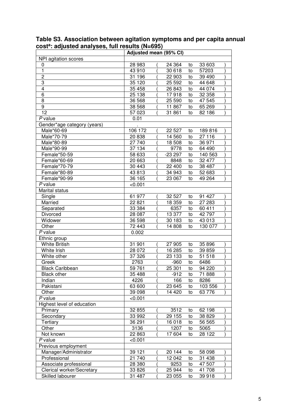| COST. aujusteu anaryses, fun results (11–033) |         | Adjusted mean (95% CI) |          |         |  |
|-----------------------------------------------|---------|------------------------|----------|---------|--|
| NPI agitation scores                          |         |                        |          |         |  |
| 0                                             | 28 983  | 24 3 64                | to       | 33 603  |  |
| $\mathbf{1}$                                  | 43 910  | 30 618                 | to       | 57203   |  |
| $\overline{2}$                                | 31 196  | 22 903                 | to       | 39 4 90 |  |
| 3                                             | 35 120  | 25 5 9 2               | to       | 44 648  |  |
| $\overline{\mathbf{4}}$                       | 35 458  | 26 843                 | to       | 44 0 74 |  |
| $\,6$                                         | 25 138  | 17918                  | to       | 32 358  |  |
| 8                                             | 36 568  | 25 590                 | to       | 47 545  |  |
| 9                                             | 38 568  | 11867                  | to       | 65 269  |  |
| 12                                            | 57 023  | 31 861                 | to       | 82 186  |  |
| P value                                       | 0.01    |                        |          |         |  |
| Gender*age category (years)                   |         |                        |          |         |  |
| Male*60-69                                    | 106 172 | 22 5 27                | to       | 189816  |  |
| Male*70-79                                    | 20 838  | 14 5 60                |          | 27 116  |  |
| Male*80-89                                    | 27 740  | 18 508                 | to<br>to | 36 971  |  |
|                                               | 37 134  |                        |          |         |  |
| Male*90-99                                    |         | 9778                   | to       | 64 490  |  |
| Female*50-59                                  | 58 633  | $-23297$               | to       | 140 563 |  |
| Female*60-69                                  | 20 663  | 8848                   | to       | 32 477  |  |
| Female*70-79                                  | 30 443  | 22 400                 | to       | 38 487  |  |
| Female*80-89                                  | 43 813  | 34 943                 | to       | 52 683  |  |
| Female*90-99                                  | 36 165  | 23 067                 | to       | 49 264  |  |
| P value                                       | < 0.001 |                        |          |         |  |
| Marital status                                |         |                        |          |         |  |
| Single                                        | 61 977  | 32 527                 | to       | 91 427  |  |
| Married                                       | 22 821  | 18 359                 | to       | 27 283  |  |
| Separated                                     | 33 384  | 6357                   | to       | 60 411  |  |
| Divorced                                      | 28 087  | 13 377                 | to       | 42797   |  |
| Widower                                       | 36 598  | 30 183                 | to       | 43 013  |  |
| Other                                         | 72 443  | 14 808                 | to       | 130 077 |  |
| $P$ value                                     | 0.002   |                        |          |         |  |
| Ethnic group                                  |         |                        |          |         |  |
| <b>White British</b>                          | 31 901  | 27 905                 | to       | 35 896  |  |
| White Irish                                   | 28 072  | 16 285                 | to       | 39 859  |  |
| White other                                   | 37326   | 23 133                 | to       | 51 518  |  |
| Greek                                         | 2763    | $-960$                 | to       | 6486    |  |
| <b>Black Caribbean</b>                        | 59 761  | 25 301                 | to       | 94 220  |  |
| <b>Black other</b>                            | 35 488  | $-912$                 | to       | 71888   |  |
| Indian                                        | 4226    | 166                    | to       | 8286    |  |
| Pakistani                                     | 63 600  | 23 645                 | to       | 103 556 |  |
| Other                                         | 39 098  | 14 4 20                | to       | 63776   |  |
| P value                                       | < 0.001 |                        |          |         |  |
| Highest level of education                    |         |                        |          |         |  |
| Primary                                       | 32 855  | 3512                   | to       | 62 198  |  |
| Secondary                                     | 33 992  | 29 155                 | to       | 38 8 29 |  |
| Tertiary                                      | 36 291  | 16 018                 | to       | 56 565  |  |
| Other                                         | 3136    | 1207                   | to       | 5065    |  |
| Not known                                     | 22 863  | 17604                  | to       | 28 1 22 |  |
| P value                                       | < 0.001 |                        |          |         |  |
| Previous employment                           |         |                        |          |         |  |
| Manager/Administrator                         | 39 1 21 | 20 144                 | to       | 58 098  |  |
| Professional                                  | 21 740  | 12 042                 | to       | 31 438  |  |
| Associate professional                        | 28 380  | 9253                   | to       | 47 507  |  |
| Clerical worker/Secretary                     | 33 826  | 25 944                 | to       | 41 708  |  |
| Skilled labourer                              | 31 487  | 23 055                 | to       | 39918   |  |

**Table S3. Association between agitation symptoms and per capita annual cost<sup>a</sup> : adjusted analyses, full results (N=695)**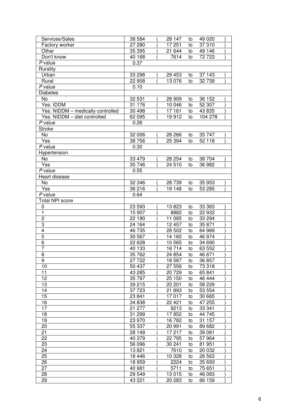| Services/Sales                    | 38 584  | 28 147   | to | 49 0 20 |  |
|-----------------------------------|---------|----------|----|---------|--|
| Factory worker                    | 27 280  | 17 251   | to | 37 310  |  |
| Other                             | 35 395  | 21644    | to | 49 146  |  |
| Don't know                        | 40 168  | 7614     | to | 72723   |  |
| P value                           | 0.37    |          |    |         |  |
| Rurality                          |         |          |    |         |  |
| Urban                             | 33 298  | 29 4 53  | to | 37143   |  |
| Rural                             | 22 908  | 13 0 76  | to | 32739   |  |
| P value                           | 0.10    |          |    |         |  |
| <b>Diabetes</b>                   |         |          |    |         |  |
| No                                | 32 531  | 28 909   | to | 36 152  |  |
| Yes: IDDM                         | 31 176  | 10 046   | to | 52 307  |  |
| Yes: NIDDM - medically controlled | 30 498  | 17 161   | to | 43 8 35 |  |
| Yes: NIDDM - diet controlled      | 62 095  | 19912    | to | 104 278 |  |
| P value                           | 0.26    |          |    |         |  |
| <b>Stroke</b>                     |         |          |    |         |  |
| No                                | 32 006  | 28 26 6  | to | 35 747  |  |
| Yes                               | 38 756  | 25 394   | to | 52 118  |  |
| P value                           | 0.30    |          |    |         |  |
| Hypertension                      |         |          |    |         |  |
| No                                | 33 479  | 28 254   | to | 38 704  |  |
| Yes                               | 30 746  | 24 510   | to | 36 982  |  |
| P value                           | 0.55    |          |    |         |  |
| Heart disease                     |         |          |    |         |  |
| No                                | 32 346  | 28 7 39  | to | 35 953  |  |
| Yes                               | 36 216  | 19 148   | to | 53 285  |  |
| P value                           | 0.64    |          |    |         |  |
| <b>Total NPI score</b>            |         |          |    |         |  |
| $\mathbf 0$                       | 23 593  | 13823    | to | 33 363  |  |
| $\overline{1}$                    | 15 907  | 8882     | to | 22 932  |  |
| $\overline{2}$                    | 22 190  | 11 085   | to | 33 294  |  |
| 3                                 | 24 164  | 12 457   | to | 35 871  |  |
| $\overline{4}$                    | 46 735  | 28 502   | to | 64 969  |  |
| $\overline{5}$                    | 30 567  | 14 160   | to | 46 974  |  |
| $\overline{6}$                    | 22 6 28 | 10 565   | to | 34 690  |  |
| $\overline{7}$                    | 40 133  | 16 714   | to | 63 552  |  |
| $\overline{8}$                    | 35 762  | 24 854   | to | 46 671  |  |
| $\overline{9}$                    | 27 7 22 | 18 5 87  | to | 36 857  |  |
| 10                                | 50 437  | 27 556   | to | 73 318  |  |
| 11                                | 43 285  | 20729    | to | 65841   |  |
| 12                                | 35 797  | 25 150   | to | 46 444  |  |
| 13                                | 39 215  | 20 201   | to | 58 229  |  |
| 14                                | 37 723  | 21 893   | to | 53 554  |  |
| 15                                | 23 841  | 17017    | to | 30 665  |  |
| 16                                | 34 838  | 22 4 21  | to | 47 255  |  |
| 17                                | 21 277  | 9213     | to | 33 341  |  |
| 18                                | 31 299  | 17852    | to | 44 745  |  |
| 19                                | 23 970  | 16782    | to | 31 157  |  |
| 20                                | 55 337  | 20 991   | to | 89 682  |  |
| 21                                | 28 149  | 17 217   | to | 39 081  |  |
| 22                                | 40 379  | 22 7 9 5 | to | 57 964  |  |
| 23                                | 56 096  | 30 241   | to | 81 951  |  |
| 24                                | 13821   | 7610     | to | 20 032  |  |
| 25                                | 18 4 46 | 10 328   | to | 26 5 63 |  |
| 26                                | 18 959  | 2224     | to | 35 693  |  |
| 27                                | 40 681  | 5711     | to | 75 651  |  |
| 28                                | 29 549  | 13 015   | to | 46 083  |  |
| 29                                | 43 221  | 20 283   | to | 66 159  |  |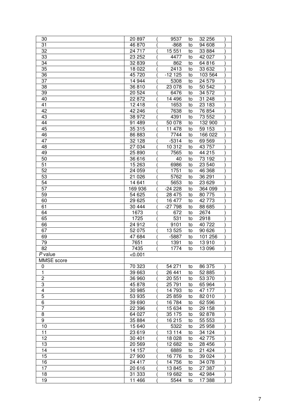| 30                | 20 897  | 9537     | to | 32 256  |  |
|-------------------|---------|----------|----|---------|--|
| 31                | 46 870  | $-868$   | to | 94 608  |  |
| 32                | 24 717  | 15 551   | to | 33 8 84 |  |
| 33                | 23 25 2 | 4477     | to | 42 0 27 |  |
| 34                | 32 839  | 862      | to | 64 816  |  |
| 35                | 18 0 22 | 2413     | to | 33 632  |  |
| 36                | 45 720  | $-12125$ | to | 103 564 |  |
| 37                | 14 944  | 5308     | to | 24 579  |  |
| 38                | 36810   | 23 0 78  | to | 50 542  |  |
| 39                | 20 5 24 | 6476     | to | 34 572  |  |
| 40                | 22 872  | 14 4 96  | to | 31 248  |  |
| 41                | 12 4 18 | 1653     | to | 23 183  |  |
| 42                | 42 246  | 7638     | to | 76 854  |  |
| 43                | 38 972  | 4391     | to | 73 552  |  |
| 44                | 91 489  | 50 078   | to | 132 900 |  |
| 45                | 35 315  | 11 478   | to | 59 153  |  |
| 46                | 86 883  | 7744     | to | 166 022 |  |
| 47                | 32 1 28 | $-5314$  |    | 69 569  |  |
|                   | 27034   |          | to |         |  |
| 48                |         | 10312    | to | 43 757  |  |
| 49                | 25 890  | 7565     | to | 44 215  |  |
| 50                | 36 616  | 40       | to | 73 192  |  |
| $\overline{51}$   | 15 263  | 6986     | to | 23 540  |  |
| 52                | 24 059  | 1751     | to | 46 368  |  |
| 53                | 21 0 26 | 5762     | to | 36 291  |  |
| 54                | 14 641  | 5653     | to | 23 6 29 |  |
| 57                | 169 936 | $-24228$ | to | 364 099 |  |
| 59                | 54 625  | 28 475   | to | 80 775  |  |
| 60                | 29 6 25 | 16 477   | to | 42 773  |  |
| 61                | 30 4 44 | -27 798  | to | 88 685  |  |
| 64                | 1673    | 672      | to | 2674    |  |
| 65                | 1725    | 531      | to | 2918    |  |
| 66                | 24 912  | 9101     | to | 40 722  |  |
| 67                | 52 075  | 13 5 25  | to | 90 626  |  |
| 69                | 47 684  | $-5887$  | to | 101 256 |  |
| 79                | 7651    | 1391     | to | 13910   |  |
| 82                | 7435    | 1774     | to | 13 096  |  |
| $P$ value         | < 0.001 |          |    |         |  |
| <b>MMSE</b> score |         |          |    |         |  |
| 0                 | 70 323  | 54 271   | to | 86 375  |  |
| 1                 | 39 663  | 26 441   | to | 52 885  |  |
| $\mathbf 2$       | 36 960  | 20 551   | to | 53 370  |  |
| 3                 | 45 878  | 25 791   | to | 65 964  |  |
| $\overline{4}$    |         |          |    |         |  |
|                   | 30 985  | 14 793   | to | 47 177  |  |
| 5                 | 53 935  | 25859    | to | 82 010  |  |
| $\overline{6}$    | 39 690  | 16784    | to | 62 596  |  |
| 7                 | 22 396  | 15 634   | to | 29 158  |  |
| 8                 | 64 027  | 35 175   | to | 92 878  |  |
| 9                 | 35 884  | 16 215   | to | 55 553  |  |
| 10                | 15 640  | 5322     | to | 25 958  |  |
| 11                | 23 619  | 13 1 14  | to | 34 1 24 |  |
| 12                | 30 401  | 18 0 28  | to | 42775   |  |
| 13                | 20 569  | 12 682   | to | 28 456  |  |
| 14                | 14 157  | 6889     | to | 21 4 24 |  |
| 15                | 27 900  | 16776    | to | 39 0 24 |  |
| 16                | 24 417  | 14756    | to | 34 0 78 |  |
| 17                | 20 616  | 13845    | to | 27 387  |  |
| 18                | 31 333  | 19682    | to | 42 984  |  |
| 19                | 11 466  | 5544     | to | 17 388  |  |
|                   |         |          |    |         |  |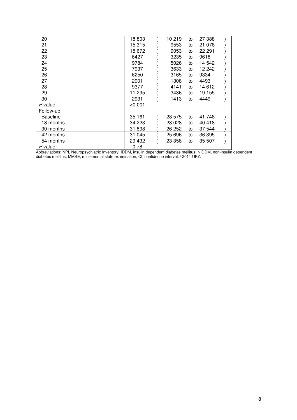| 20              | 18 803  | 10 219 | to | 27 388  |  |
|-----------------|---------|--------|----|---------|--|
| 21              | 15 315  | 9553   | to | 21 0 78 |  |
| 22              | 15 672  | 9053   | to | 22 291  |  |
| 23              | 6427    | 3235   | to | 9618    |  |
| 24              | 9784    | 5026   | to | 14 542  |  |
| 25              | 7937    | 3633   | to | 12 242  |  |
| 26              | 6250    | 3165   | to | 9334    |  |
| 27              | 2901    | 1308   | to | 4493    |  |
| 28              | 9377    | 4141   | to | 14 612  |  |
| 29              | 11 295  | 3436   | to | 19 155  |  |
| 30              | 2931    | 1413   | to | 4449    |  |
| P value         | < 0.001 |        |    |         |  |
| Follow-up       |         |        |    |         |  |
| <b>Baseline</b> | 35 161  | 28 575 | to | 41 748  |  |
| 18 months       | 34 223  | 28 028 | to | 40 418  |  |
| 30 months       | 31 898  | 26 252 | to | 37 544  |  |
| 42 months       | 31 045  | 25 696 | to | 36 395  |  |
| 54 months       | 29 432  | 23 358 | to | 35 507  |  |
| P value         | 0.78    |        |    |         |  |

Abbreviations: NPI, Neuropsychiatric Inventory; IDDM, insulin dependent diabetes mellitus; NIDDM, non-insulin dependent diabetes mellitus; MMSE, mini–mental state examination; CI, confidence interval. <sup>a</sup> 2011 UK£.